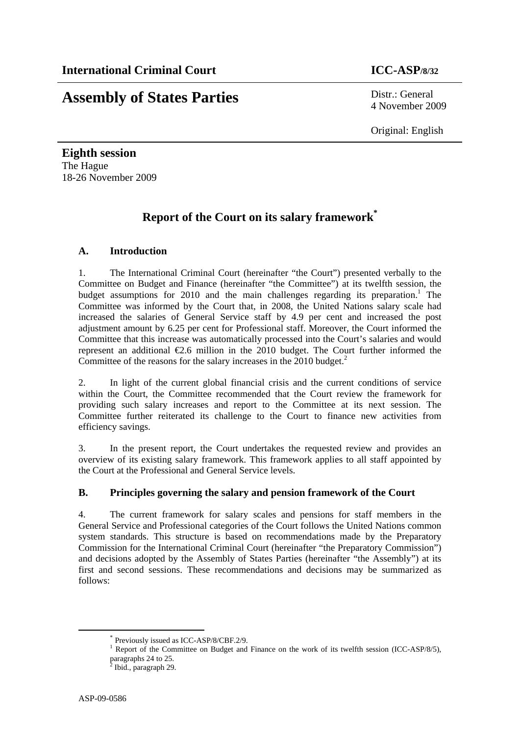# **Assembly of States Parties** Distr.: General

4 November 2009

Original: English

**Eighth session**  The Hague 18-26 November 2009

## **Report of the Court on its salary framework\***

### **A. Introduction**

1. The International Criminal Court (hereinafter "the Court") presented verbally to the Committee on Budget and Finance (hereinafter "the Committee") at its twelfth session, the budget assumptions for 2010 and the main challenges regarding its preparation.<sup>1</sup> The Committee was informed by the Court that, in 2008, the United Nations salary scale had increased the salaries of General Service staff by 4.9 per cent and increased the post adjustment amount by 6.25 per cent for Professional staff. Moreover, the Court informed the Committee that this increase was automatically processed into the Court's salaries and would represent an additional  $\epsilon 2.6$  million in the 2010 budget. The Court further informed the Committee of the reasons for the salary increases in the 2010 budget.<sup>2</sup>

2. In light of the current global financial crisis and the current conditions of service within the Court, the Committee recommended that the Court review the framework for providing such salary increases and report to the Committee at its next session. The Committee further reiterated its challenge to the Court to finance new activities from efficiency savings.

3. In the present report, the Court undertakes the requested review and provides an overview of its existing salary framework. This framework applies to all staff appointed by the Court at the Professional and General Service levels.

### **B. Principles governing the salary and pension framework of the Court**

4. The current framework for salary scales and pensions for staff members in the General Service and Professional categories of the Court follows the United Nations common system standards. This structure is based on recommendations made by the Preparatory Commission for the International Criminal Court (hereinafter "the Preparatory Commission") and decisions adopted by the Assembly of States Parties (hereinafter "the Assembly") at its first and second sessions. These recommendations and decisions may be summarized as follows:

 <sup>\*</sup> Previously issued as ICC-ASP/8/CBF.2/9.

<sup>&</sup>lt;sup>1</sup> Report of the Committee on Budget and Finance on the work of its twelfth session (ICC-ASP/8/5), paragraphs 24 to 25.

 $2$  Ibid., paragraph 29.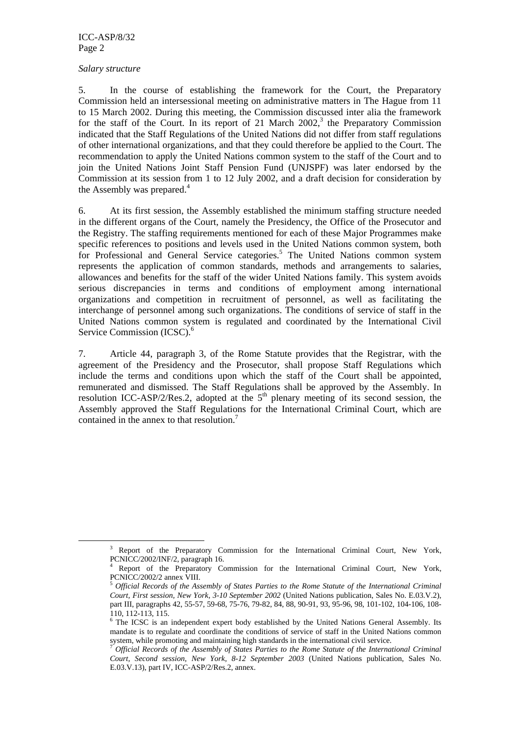ICC-ASP/8/32 Page 2

#### *Salary structure*

5. In the course of establishing the framework for the Court, the Preparatory Commission held an intersessional meeting on administrative matters in The Hague from 11 to 15 March 2002. During this meeting, the Commission discussed inter alia the framework for the staff of the Court. In its report of 21 March  $2002$ ,<sup>3</sup> the Preparatory Commission indicated that the Staff Regulations of the United Nations did not differ from staff regulations of other international organizations, and that they could therefore be applied to the Court. The recommendation to apply the United Nations common system to the staff of the Court and to join the United Nations Joint Staff Pension Fund (UNJSPF) was later endorsed by the Commission at its session from 1 to 12 July 2002, and a draft decision for consideration by the Assembly was prepared.<sup>4</sup>

6. At its first session, the Assembly established the minimum staffing structure needed in the different organs of the Court, namely the Presidency, the Office of the Prosecutor and the Registry. The staffing requirements mentioned for each of these Major Programmes make specific references to positions and levels used in the United Nations common system, both for Professional and General Service categories.<sup>5</sup> The United Nations common system represents the application of common standards, methods and arrangements to salaries, allowances and benefits for the staff of the wider United Nations family. This system avoids serious discrepancies in terms and conditions of employment among international organizations and competition in recruitment of personnel, as well as facilitating the interchange of personnel among such organizations. The conditions of service of staff in the United Nations common system is regulated and coordinated by the International Civil Service Commission (ICSC).<sup>6</sup>

7. Article 44, paragraph 3, of the Rome Statute provides that the Registrar, with the agreement of the Presidency and the Prosecutor, shall propose Staff Regulations which include the terms and conditions upon which the staff of the Court shall be appointed, remunerated and dismissed. The Staff Regulations shall be approved by the Assembly. In resolution ICC-ASP/2/Res.2, adopted at the  $5<sup>th</sup>$  plenary meeting of its second session, the Assembly approved the Staff Regulations for the International Criminal Court, which are contained in the annex to that resolution.<sup>7</sup>

 $\frac{3}{3}$  Report of the Preparatory Commission for the International Criminal Court, New York, PCNICC/2002/INF/2, paragraph 16.

<sup>4</sup> Report of the Preparatory Commission for the International Criminal Court, New York, PCNICC/2002/2 annex VIII.

<sup>5</sup> *Official Records of the Assembly of States Parties to the Rome Statute of the International Criminal Court, First session, New York, 3-10 September 2002* (United Nations publication, Sales No. E.03.V.2), part III, paragraphs 42, 55-57, 59-68, 75-76, 79-82, 84, 88, 90-91, 93, 95-96, 98, 101-102, 104-106, 108- 110, 112-113, 115.

<sup>&</sup>lt;sup>6</sup> The ICSC is an independent expert body established by the United Nations General Assembly. Its mandate is to regulate and coordinate the conditions of service of staff in the United Nations common system, while promoting and maintaining high standards in the international civil service. 7 *Official Records of the Assembly of States Parties to the Rome Statute of the International Criminal* 

*Court, Second session, New York, 8-12 September 2003* (United Nations publication, Sales No. E.03.V.13), part IV, ICC-ASP/2/Res.2, annex.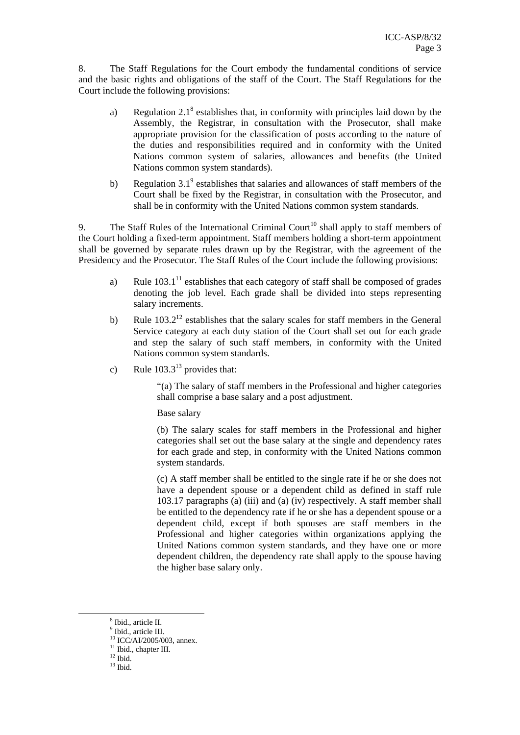8. The Staff Regulations for the Court embody the fundamental conditions of service and the basic rights and obligations of the staff of the Court. The Staff Regulations for the Court include the following provisions:

- a) Regulation  $2.1^8$  establishes that, in conformity with principles laid down by the Assembly, the Registrar, in consultation with the Prosecutor, shall make appropriate provision for the classification of posts according to the nature of the duties and responsibilities required and in conformity with the United Nations common system of salaries, allowances and benefits (the United Nations common system standards).
- b) Regulation  $3.1^9$  establishes that salaries and allowances of staff members of the Court shall be fixed by the Registrar, in consultation with the Prosecutor, and shall be in conformity with the United Nations common system standards.

9. The Staff Rules of the International Criminal Court<sup>10</sup> shall apply to staff members of the Court holding a fixed-term appointment. Staff members holding a short-term appointment shall be governed by separate rules drawn up by the Registrar, with the agreement of the Presidency and the Prosecutor. The Staff Rules of the Court include the following provisions:

- a) Rule  $103.1<sup>11</sup>$  establishes that each category of staff shall be composed of grades denoting the job level. Each grade shall be divided into steps representing salary increments.
- b) Rule  $103.2^{12}$  establishes that the salary scales for staff members in the General Service category at each duty station of the Court shall set out for each grade and step the salary of such staff members, in conformity with the United Nations common system standards.
- c) Rule  $103.3^{13}$  provides that:

"(a) The salary of staff members in the Professional and higher categories shall comprise a base salary and a post adjustment.

Base salary

(b) The salary scales for staff members in the Professional and higher categories shall set out the base salary at the single and dependency rates for each grade and step, in conformity with the United Nations common system standards.

(c) A staff member shall be entitled to the single rate if he or she does not have a dependent spouse or a dependent child as defined in staff rule 103.17 paragraphs (a) (iii) and (a) (iv) respectively. A staff member shall be entitled to the dependency rate if he or she has a dependent spouse or a dependent child, except if both spouses are staff members in the Professional and higher categories within organizations applying the United Nations common system standards, and they have one or more dependent children, the dependency rate shall apply to the spouse having the higher base salary only.

 $\frac{1}{8}$ <sup>8</sup> Ibid., article II.

<sup>9</sup> Ibid., article III.

 $^{10}$  ICC/AI/2005/003, annex.

<sup>&</sup>lt;sup>11</sup> Ibid., chapter III.

 $12$  Ibid.

 $13$  Ibid.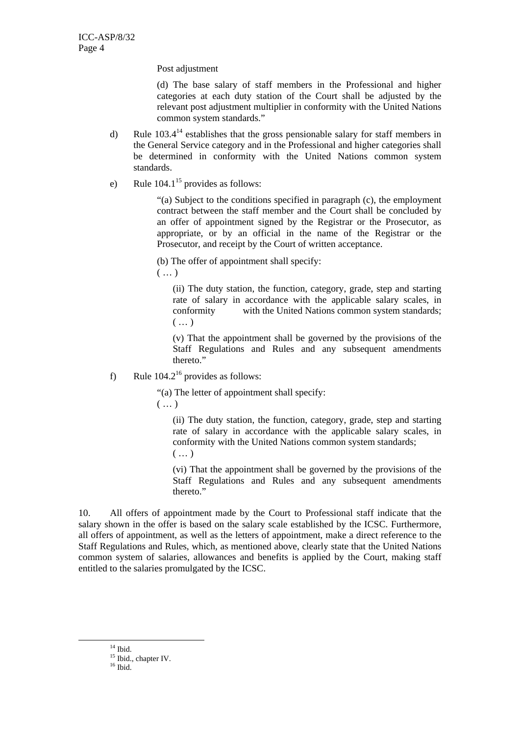Post adjustment

(d) The base salary of staff members in the Professional and higher categories at each duty station of the Court shall be adjusted by the relevant post adjustment multiplier in conformity with the United Nations common system standards."

- d) Rule  $103.4^{14}$  establishes that the gross pensionable salary for staff members in the General Service category and in the Professional and higher categories shall be determined in conformity with the United Nations common system standards.
- e) Rule  $104.1^{15}$  provides as follows:

"(a) Subject to the conditions specified in paragraph (c), the employment contract between the staff member and the Court shall be concluded by an offer of appointment signed by the Registrar or the Prosecutor, as appropriate, or by an official in the name of the Registrar or the Prosecutor, and receipt by the Court of written acceptance.

(b) The offer of appointment shall specify:

 $(\ldots)$ 

(ii) The duty station, the function, category, grade, step and starting rate of salary in accordance with the applicable salary scales, in conformity with the United Nations common system standards;  $( ...)$ 

(v) That the appointment shall be governed by the provisions of the Staff Regulations and Rules and any subsequent amendments thereto."

f) Rule  $104.2^{16}$  provides as follows:

"(a) The letter of appointment shall specify:

 $\left( \ldots \right)$ 

(ii) The duty station, the function, category, grade, step and starting rate of salary in accordance with the applicable salary scales, in conformity with the United Nations common system standards;  $(\ldots)$ 

(vi) That the appointment shall be governed by the provisions of the Staff Regulations and Rules and any subsequent amendments thereto."

10. All offers of appointment made by the Court to Professional staff indicate that the salary shown in the offer is based on the salary scale established by the ICSC. Furthermore, all offers of appointment, as well as the letters of appointment, make a direct reference to the Staff Regulations and Rules, which, as mentioned above, clearly state that the United Nations common system of salaries, allowances and benefits is applied by the Court, making staff entitled to the salaries promulgated by the ICSC.

 $14$  Ibid.

<sup>&</sup>lt;sup>15</sup> Ibid., chapter IV.

 $16$  Ibid.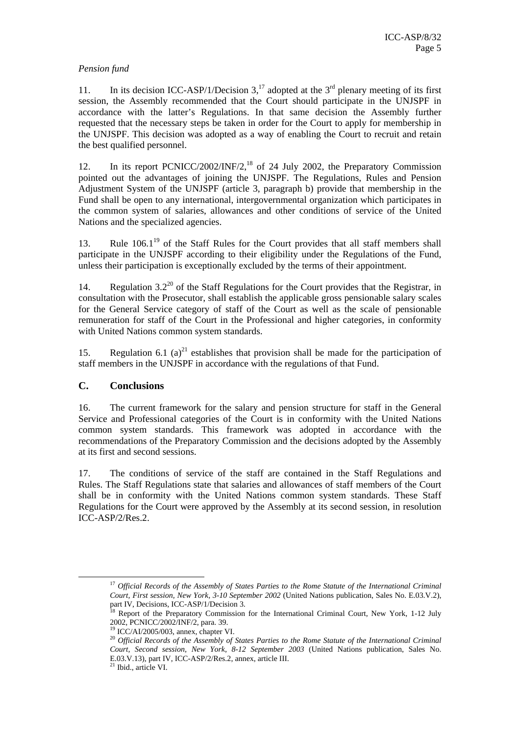#### *Pension fund*

11. In its decision ICC-ASP/1/Decision  $3<sup>17</sup>$  adopted at the  $3<sup>rd</sup>$  plenary meeting of its first session, the Assembly recommended that the Court should participate in the UNJSPF in accordance with the latter's Regulations. In that same decision the Assembly further requested that the necessary steps be taken in order for the Court to apply for membership in the UNJSPF. This decision was adopted as a way of enabling the Court to recruit and retain the best qualified personnel.

12. In its report PCNICC/2002/INF/2,<sup>18</sup> of 24 July 2002, the Preparatory Commission pointed out the advantages of joining the UNJSPF. The Regulations, Rules and Pension Adjustment System of the UNJSPF (article 3, paragraph b) provide that membership in the Fund shall be open to any international, intergovernmental organization which participates in the common system of salaries, allowances and other conditions of service of the United Nations and the specialized agencies.

13. Rule  $106.1^{19}$  of the Staff Rules for the Court provides that all staff members shall participate in the UNJSPF according to their eligibility under the Regulations of the Fund, unless their participation is exceptionally excluded by the terms of their appointment.

14. Regulation  $3.2^{20}$  of the Staff Regulations for the Court provides that the Registrar, in consultation with the Prosecutor, shall establish the applicable gross pensionable salary scales for the General Service category of staff of the Court as well as the scale of pensionable remuneration for staff of the Court in the Professional and higher categories, in conformity with United Nations common system standards.

15. Regulation 6.1 (a)<sup>21</sup> establishes that provision shall be made for the participation of staff members in the UNJSPF in accordance with the regulations of that Fund.

#### **C. Conclusions**

16. The current framework for the salary and pension structure for staff in the General Service and Professional categories of the Court is in conformity with the United Nations common system standards. This framework was adopted in accordance with the recommendations of the Preparatory Commission and the decisions adopted by the Assembly at its first and second sessions.

17. The conditions of service of the staff are contained in the Staff Regulations and Rules. The Staff Regulations state that salaries and allowances of staff members of the Court shall be in conformity with the United Nations common system standards. These Staff Regulations for the Court were approved by the Assembly at its second session, in resolution ICC-ASP/2/Res.2.

 <sup>17</sup> *Official Records of the Assembly of States Parties to the Rome Statute of the International Criminal Court, First session, New York, 3-10 September 2002* (United Nations publication, Sales No. E.03.V.2), part IV, Decisions, ICC-ASP/1/Decision 3.

<sup>&</sup>lt;sup>18</sup> Report of the Preparatory Commission for the International Criminal Court, New York, 1-12 July 2002, PCNICC/2002/INF/2, para. 39.

<sup>19</sup> ICC/AI/2005/003, annex, chapter VI.

<sup>20</sup> *Official Records of the Assembly of States Parties to the Rome Statute of the International Criminal Court, Second session, New York, 8-12 September 2003* (United Nations publication, Sales No. E.03.V.13), part IV, ICC-ASP/2/Res.2, annex, article III. 21 Ibid., article VI.